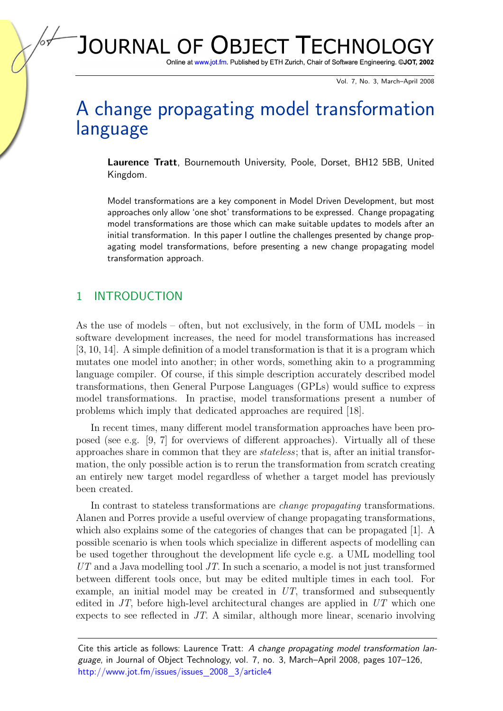# JOURNAL OF OBJECT TECHNOLG

Online at www.jot.fm. Published by ETH Zurich, Chair of Software Engineering. ©JOT, 2002

Vol. 7, No. 3, March–April 2008

## A change propagating model transformation language

Laurence Tratt, Bournemouth University, Poole, Dorset, BH12 5BB, United Kingdom.

Model transformations are a key component in Model Driven Development, but most approaches only allow 'one shot' transformations to be expressed. Change propagating model transformations are those which can make suitable updates to models after an initial transformation. In this paper I outline the challenges presented by change propagating model transformations, before presenting a new change propagating model transformation approach.

## 1 INTRODUCTION

As the use of models – often, but not exclusively, in the form of UML models – in software development increases, the need for model transformations has increased [\[3,](#page-18-0) [10,](#page-18-1) [14\]](#page-19-0). A simple definition of a model transformation is that it is a program which mutates one model into another; in other words, something akin to a programming language compiler. Of course, if this simple description accurately described model transformations, then General Purpose Languages (GPLs) would suffice to express model transformations. In practise, model transformations present a number of problems which imply that dedicated approaches are required [\[18\]](#page-19-1).

In recent times, many different model transformation approaches have been proposed (see e.g. [\[9,](#page-18-2) [7\]](#page-18-3) for overviews of different approaches). Virtually all of these approaches share in common that they are stateless; that is, after an initial transformation, the only possible action is to rerun the transformation from scratch creating an entirely new target model regardless of whether a target model has previously been created.

In contrast to stateless transformations are change propagating transformations. Alanen and Porres provide a useful overview of change propagating transformations, which also explains some of the categories of changes that can be propagated [\[1\]](#page-18-4). A possible scenario is when tools which specialize in different aspects of modelling can be used together throughout the development life cycle e.g. a UML modelling tool  $UT$  and a Java modelling tool  $JT$ . In such a scenario, a model is not just transformed between different tools once, but may be edited multiple times in each tool. For example, an initial model may be created in UT, transformed and subsequently edited in  $JT$ , before high-level architectural changes are applied in  $UT$  which one expects to see reflected in JT. A similar, although more linear, scenario involving

Cite this article as follows: Laurence Tratt: A change propagating model transformation language, in Journal of Object Technology, vol. 7, no. 3, March–April 2008, pages 107–126, [http://www.jot.fm/issues/issues](http://www.jot.fm/issues/issues_2008_03/article3) 2008 3/article4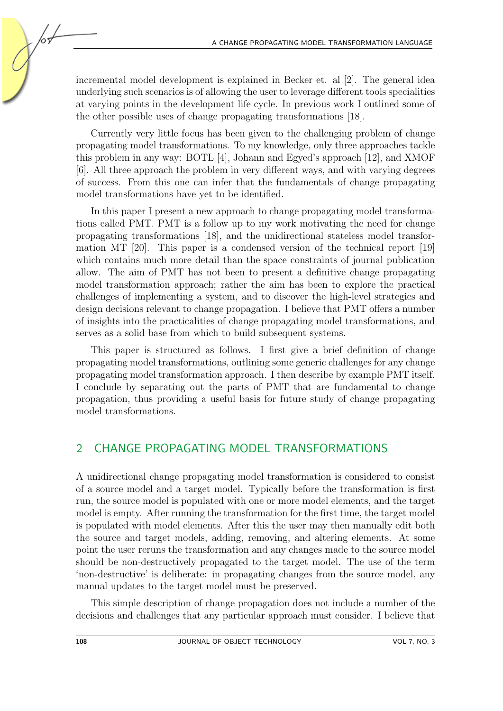incremental model development is explained in Becker et. al [\[2\]](#page-18-5). The general idea underlying such scenarios is of allowing the user to leverage different tools specialities at varying points in the development life cycle. In previous work I outlined some of the other possible uses of change propagating transformations [\[18\]](#page-19-1).

Currently very little focus has been given to the challenging problem of change propagating model transformations. To my knowledge, only three approaches tackle this problem in any way: BOTL [\[4\]](#page-18-6), Johann and Egyed's approach [\[12\]](#page-19-2), and XMOF [\[6\]](#page-18-7). All three approach the problem in very different ways, and with varying degrees of success. From this one can infer that the fundamentals of change propagating model transformations have yet to be identified.

In this paper I present a new approach to change propagating model transformations called PMT. PMT is a follow up to my work motivating the need for change propagating transformations [\[18\]](#page-19-1), and the unidirectional stateless model transformation MT [\[20\]](#page-19-3). This paper is a condensed version of the technical report [\[19\]](#page-19-4) which contains much more detail than the space constraints of journal publication allow. The aim of PMT has not been to present a definitive change propagating model transformation approach; rather the aim has been to explore the practical challenges of implementing a system, and to discover the high-level strategies and design decisions relevant to change propagation. I believe that PMT offers a number of insights into the practicalities of change propagating model transformations, and serves as a solid base from which to build subsequent systems.

This paper is structured as follows. I first give a brief definition of change propagating model transformations, outlining some generic challenges for any change propagating model transformation approach. I then describe by example PMT itself. I conclude by separating out the parts of PMT that are fundamental to change propagation, thus providing a useful basis for future study of change propagating model transformations.

## <span id="page-1-0"></span>2 CHANGE PROPAGATING MODEL TRANSFORMATIONS

A unidirectional change propagating model transformation is considered to consist of a source model and a target model. Typically before the transformation is first run, the source model is populated with one or more model elements, and the target model is empty. After running the transformation for the first time, the target model is populated with model elements. After this the user may then manually edit both the source and target models, adding, removing, and altering elements. At some point the user reruns the transformation and any changes made to the source model should be non-destructively propagated to the target model. The use of the term 'non-destructive' is deliberate: in propagating changes from the source model, any manual updates to the target model must be preserved.

This simple description of change propagation does not include a number of the decisions and challenges that any particular approach must consider. I believe that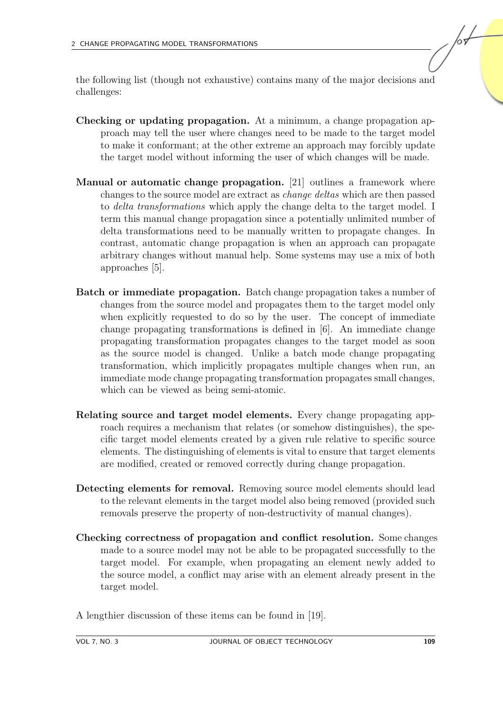the following list (though not exhaustive) contains many of the major decisions and challenges:

- Checking or updating propagation. At a minimum, a change propagation approach may tell the user where changes need to be made to the target model to make it conformant; at the other extreme an approach may forcibly update the target model without informing the user of which changes will be made.
- Manual or automatic change propagation. [\[21\]](#page-19-5) outlines a framework where changes to the source model are extract as change deltas which are then passed to delta transformations which apply the change delta to the target model. I term this manual change propagation since a potentially unlimited number of delta transformations need to be manually written to propagate changes. In contrast, automatic change propagation is when an approach can propagate arbitrary changes without manual help. Some systems may use a mix of both approaches [\[5\]](#page-18-8).
- Batch or immediate propagation. Batch change propagation takes a number of changes from the source model and propagates them to the target model only when explicitly requested to do so by the user. The concept of immediate change propagating transformations is defined in [\[6\]](#page-18-7). An immediate change propagating transformation propagates changes to the target model as soon as the source model is changed. Unlike a batch mode change propagating transformation, which implicitly propagates multiple changes when run, an immediate mode change propagating transformation propagates small changes, which can be viewed as being semi-atomic.
- Relating source and target model elements. Every change propagating approach requires a mechanism that relates (or somehow distinguishes), the specific target model elements created by a given rule relative to specific source elements. The distinguishing of elements is vital to ensure that target elements are modified, created or removed correctly during change propagation.
- Detecting elements for removal. Removing source model elements should lead to the relevant elements in the target model also being removed (provided such removals preserve the property of non-destructivity of manual changes).
- Checking correctness of propagation and conflict resolution. Some changes made to a source model may not be able to be propagated successfully to the target model. For example, when propagating an element newly added to the source model, a conflict may arise with an element already present in the target model.
- A lengthier discussion of these items can be found in [\[19\]](#page-19-4).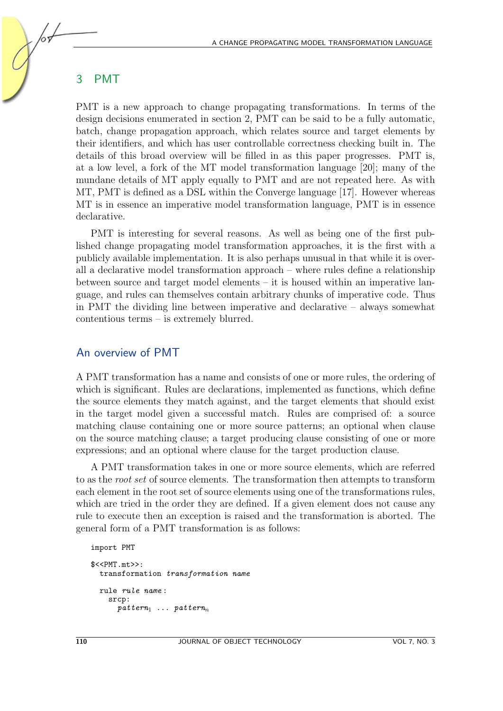## 3 PMT

PMT is a new approach to change propagating transformations. In terms of the design decisions enumerated in section [2,](#page-1-0) PMT can be said to be a fully automatic, batch, change propagation approach, which relates source and target elements by their identifiers, and which has user controllable correctness checking built in. The details of this broad overview will be filled in as this paper progresses. PMT is, at a low level, a fork of the MT model transformation language  $[20]$ ; many of the mundane details of MT apply equally to PMT and are not repeated here. As with MT, PMT is defined as a DSL within the Converge language [\[17\]](#page-19-6). However whereas MT is in essence an imperative model transformation language, PMT is in essence declarative.

PMT is interesting for several reasons. As well as being one of the first published change propagating model transformation approaches, it is the first with a publicly available implementation. It is also perhaps unusual in that while it is overall a declarative model transformation approach – where rules define a relationship between source and target model elements – it is housed within an imperative language, and rules can themselves contain arbitrary chunks of imperative code. Thus in PMT the dividing line between imperative and declarative – always somewhat contentious terms – is extremely blurred.

#### An overview of PMT

A PMT transformation has a name and consists of one or more rules, the ordering of which is significant. Rules are declarations, implemented as functions, which define the source elements they match against, and the target elements that should exist in the target model given a successful match. Rules are comprised of: a source matching clause containing one or more source patterns; an optional when clause on the source matching clause; a target producing clause consisting of one or more expressions; and an optional where clause for the target production clause.

A PMT transformation takes in one or more source elements, which are referred to as the root set of source elements. The transformation then attempts to transform each element in the root set of source elements using one of the transformations rules, which are tried in the order they are defined. If a given element does not cause any rule to execute then an exception is raised and the transformation is aborted. The general form of a PMT transformation is as follows:

```
import PMT
$<<PMT.mt>>:
  transformation transformation name
 rule rule name :
    srcp:
      pattern_1 ... pattern_n
```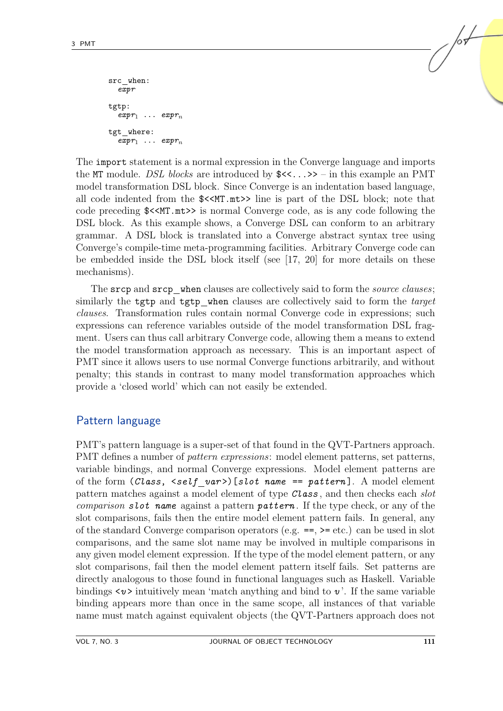```
src when:
  expr
tgtp:
  expr_1 \ldots \text{expr}_ntgt where:
  expr_1 \ldots expr_n
```
The import statement is a normal expression in the Converge language and imports the MT module. DSL blocks are introduced by  $\text{S}\ll 1.$   $\gg$  – in this example an PMT model transformation DSL block. Since Converge is an indentation based language, all code indented from the  $K<sub>1</sub>$  mt>> line is part of the DSL block; note that code preceding \$<<MT.mt>> is normal Converge code, as is any code following the DSL block. As this example shows, a Converge DSL can conform to an arbitrary grammar. A DSL block is translated into a Converge abstract syntax tree using Converge's compile-time meta-programming facilities. Arbitrary Converge code can be embedded inside the DSL block itself (see [\[17,](#page-19-6) [20\]](#page-19-3) for more details on these mechanisms).

The srcp and srcp when clauses are collectively said to form the *source clauses*; similarly the tgtp and tgtp when clauses are collectively said to form the *target* clauses. Transformation rules contain normal Converge code in expressions; such expressions can reference variables outside of the model transformation DSL fragment. Users can thus call arbitrary Converge code, allowing them a means to extend the model transformation approach as necessary. This is an important aspect of PMT since it allows users to use normal Converge functions arbitrarily, and without penalty; this stands in contrast to many model transformation approaches which provide a 'closed world' which can not easily be extended.

## Pattern language

<span id="page-4-0"></span>PMT's pattern language is a super-set of that found in the QVT-Partners approach. PMT defines a number of *pattern expressions*: model element patterns, set patterns, variable bindings, and normal Converge expressions. Model element patterns are of the form  $(Class, \; \leq self \; var)$  [slot name == pattern]. A model element pattern matches against a model element of type Class, and then checks each *slot comparison slot name* against a pattern *pattern*. If the type check, or any of the slot comparisons, fails then the entire model element pattern fails. In general, any of the standard Converge comparison operators (e.g. ==, >= etc.) can be used in slot comparisons, and the same slot name may be involved in multiple comparisons in any given model element expression. If the type of the model element pattern, or any slot comparisons, fail then the model element pattern itself fails. Set patterns are directly analogous to those found in functional languages such as Haskell. Variable bindings  $\langle v \rangle$  intuitively mean 'match anything and bind to v'. If the same variable binding appears more than once in the same scope, all instances of that variable name must match against equivalent objects (the QVT-Partners approach does not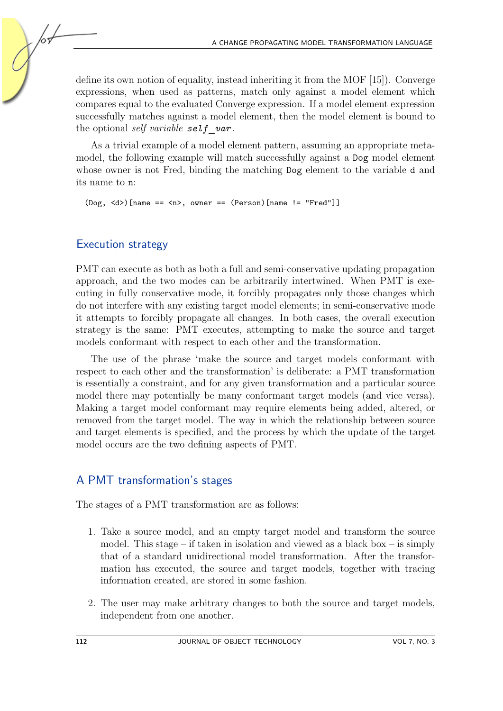define its own notion of equality, instead inheriting it from the MOF [\[15\]](#page-19-7)). Converge expressions, when used as patterns, match only against a model element which compares equal to the evaluated Converge expression. If a model element expression successfully matches against a model element, then the model element is bound to the optional self variable self var.

As a trivial example of a model element pattern, assuming an appropriate metamodel, the following example will match successfully against a Dog model element whose owner is not Fred, binding the matching  $\log$  element to the variable d and its name to n:

 $($ Dog,  $\langle d \rangle$  $[name ==  $\langle n \rangle$ , owner ==  $(Person)$  $[name != "Fred"]$$ 

## Execution strategy

PMT can execute as both as both a full and semi-conservative updating propagation approach, and the two modes can be arbitrarily intertwined. When PMT is executing in fully conservative mode, it forcibly propagates only those changes which do not interfere with any existing target model elements; in semi-conservative mode it attempts to forcibly propagate all changes. In both cases, the overall execution strategy is the same: PMT executes, attempting to make the source and target models conformant with respect to each other and the transformation.

The use of the phrase 'make the source and target models conformant with respect to each other and the transformation' is deliberate: a PMT transformation is essentially a constraint, and for any given transformation and a particular source model there may potentially be many conformant target models (and vice versa). Making a target model conformant may require elements being added, altered, or removed from the target model. The way in which the relationship between source and target elements is specified, and the process by which the update of the target model occurs are the two defining aspects of PMT.

## A PMT transformation's stages

The stages of a PMT transformation are as follows:

- 1. Take a source model, and an empty target model and transform the source model. This stage – if taken in isolation and viewed as a black box – is simply that of a standard unidirectional model transformation. After the transformation has executed, the source and target models, together with tracing information created, are stored in some fashion.
- 2. The user may make arbitrary changes to both the source and target models, independent from one another.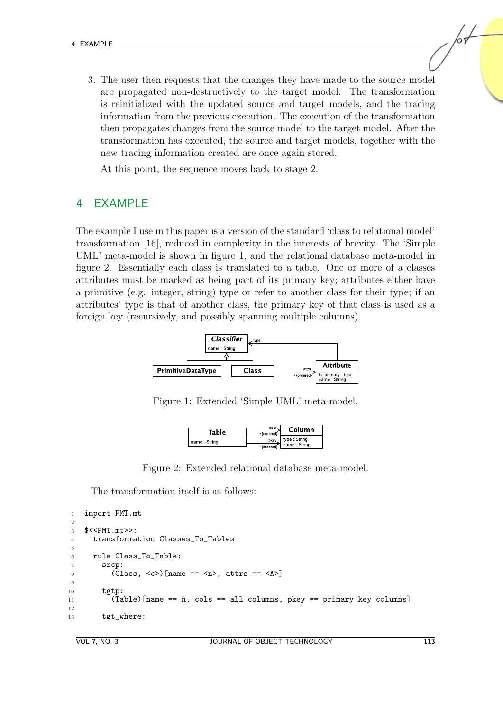3. The user then requests that the changes they have made to the source model are propagated non-destructively to the target model. The transformation is reinitialized with the updated source and target models, and the tracing information from the previous execution. The execution of the transformation then propagates changes from the source model to the target model. After the transformation has executed, the source and target models, together with the new tracing information created are once again stored.

At this point, the sequence moves back to stage 2.

## <span id="page-6-2"></span>4 EXAMPLE

The example I use in this paper is a version of the standard 'class to relational model' transformation [\[16\]](#page-19-8), reduced in complexity in the interests of brevity. The 'Simple UML' meta-model is shown in figure [1,](#page-6-0) and the relational database meta-model in figure [2.](#page-6-1) Essentially each class is translated to a table. One or more of a classes attributes must be marked as being part of its primary key; attributes either have a primitive (e.g. integer, string) type or refer to another class for their type; if an attributes' type is that of another class, the primary key of that class is used as a foreign key (recursively, and possibly spanning multiple columns).



Figure 1: Extended 'Simple UML' meta-model.

<span id="page-6-1"></span><span id="page-6-0"></span>

| Table        | cols<br>*{ordered}    | Column                        |  |
|--------------|-----------------------|-------------------------------|--|
| name: String | pkev<br>$*$ fordered) | type : String<br>name: String |  |

Figure 2: Extended relational database meta-model.

The transformation itself is as follows:

```
1 import PMT.mt
\overline{2}3 $<<PMT.mt>>:
4 transformation Classes_To_Tables
5
6 rule Class_To_Table:
7 srcp:
8 (Class, \langle c \rangle [name == \langle n \rangle, attrs == \langle A \rangle]
9
10 tgtp:
11 (Table)[name == n, cols == all_columns, pkey == primary_key_columns]
12
13 tgt where:
```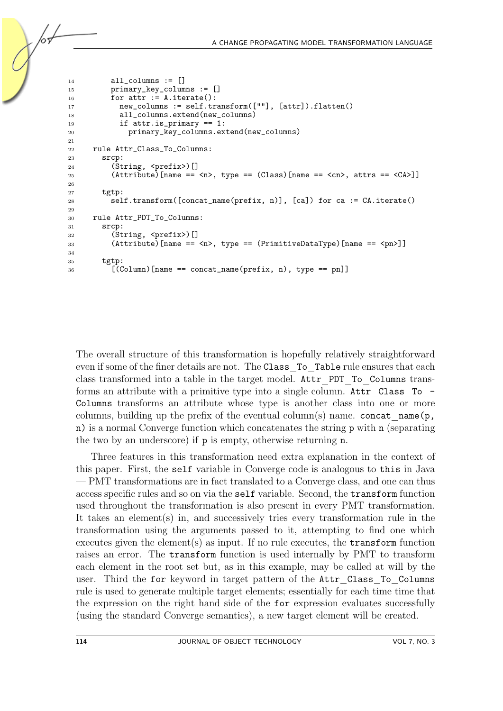```
14 all_columns := []
15 primary_key_columns := []
16 for attr := A.iterate():
17 new_columns := self.transform([""], [attr]).flatten()
18 all_columns.extend(new_columns)
19 if attr.is_primary == 1:
20 primary_key_columns.extend(new_columns)
2122 rule Attr_Class_To_Columns:
23 srcp:
24 (String, <prefix>)[]
25 (Attribute)[name == \langle n \rangle, type == (Class)[name == \langle cn \rangle, attrs == \langle CA \rangle]]
26
27 tgtp:
28 self.transform([concat_name(prefix, n)], [ca]) for ca := CA.iterate()
29
30 rule Attr_PDT_To_Columns:
31 srcp:
32 (String, <prefix>)[]
33 (Attribute)[name == <n>, type == (PrimitiveDataType)[name == <pn>]]
34
35 tgtp:
36 [(Column)[name == concat_name(prefix, n), type == pn]]
```
The overall structure of this transformation is hopefully relatively straightforward even if some of the finer details are not. The Class To Table rule ensures that each class transformed into a table in the target model. Attr\_PDT\_To\_Columns transforms an attribute with a primitive type into a single column. Attr\_Class\_To\_-Columns transforms an attribute whose type is another class into one or more columns, building up the prefix of the eventual column(s) name. concat name( $\mathfrak{p}$ , n) is a normal Converge function which concatenates the string p with n (separating the two by an underscore) if p is empty, otherwise returning n.

Three features in this transformation need extra explanation in the context of this paper. First, the self variable in Converge code is analogous to this in Java — PMT transformations are in fact translated to a Converge class, and one can thus access specific rules and so on via the self variable. Second, the transform function used throughout the transformation is also present in every PMT transformation. It takes an element(s) in, and successively tries every transformation rule in the transformation using the arguments passed to it, attempting to find one which executes given the element(s) as input. If no rule executes, the  $transform$  function raises an error. The transform function is used internally by PMT to transform each element in the root set but, as in this example, may be called at will by the user. Third the for keyword in target pattern of the Attr Class To Columns rule is used to generate multiple target elements; essentially for each time time that the expression on the right hand side of the for expression evaluates successfully (using the standard Converge semantics), a new target element will be created.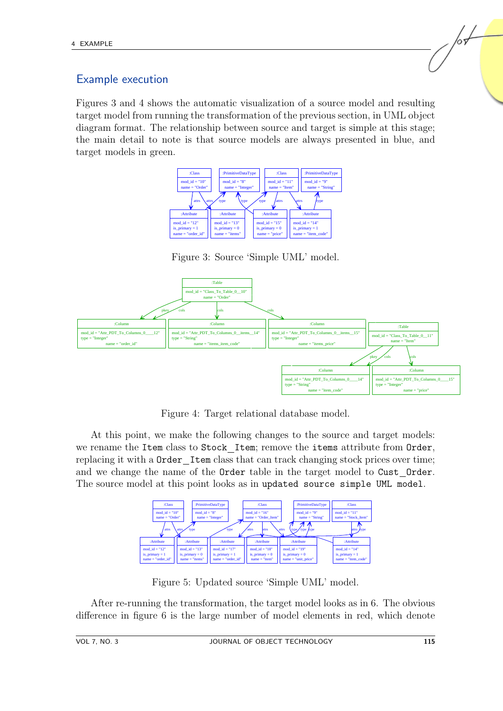## Example execution

Figures [3](#page-8-0) and [4](#page-8-1) shows the automatic visualization of a source model and resulting target model from running the transformation of the previous section, in UML object diagram format. The relationship between source and target is simple at this stage; the main detail to note is that source models are always presented in blue, and target models in green.



<span id="page-8-0"></span>Figure 3: Source 'Simple UML' model.



<span id="page-8-1"></span>Figure 4: Target relational database model.

At this point, we make the following changes to the source and target models: we rename the Item class to Stock Item; remove the items attribute from Order, replacing it with a Order Item class that can track changing stock prices over time; and we change the name of the Order table in the target model to Cust Order. The source model at this point looks as in updated source simple UML model.



<span id="page-8-2"></span>Figure 5: Updated source 'Simple UML' model.

After re-running the transformation, the target model looks as in [6.](#page-9-0) The obvious difference in figure [6](#page-9-0) is the large number of model elements in red, which denote /or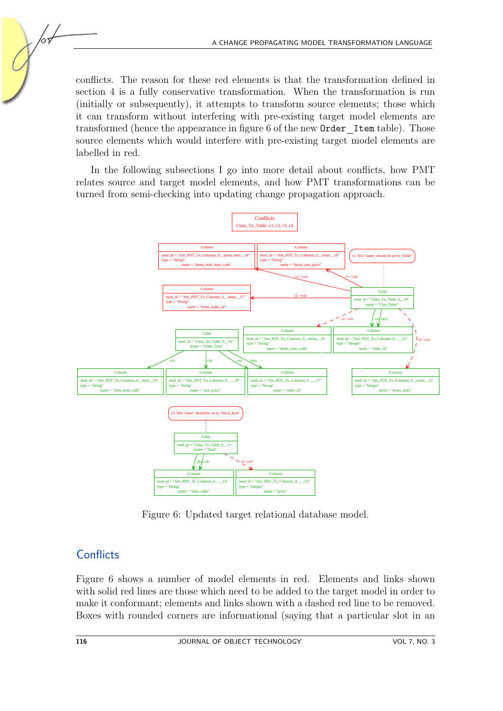conflicts. The reason for these red elements is that the transformation defined in section [4](#page-6-2) is a fully conservative transformation. When the transformation is run (initially or subsequently), it attempts to transform source elements; those which it can transform without interfering with pre-existing target model elements are transformed (hence the appearance in figure [6](#page-9-0) of the new Order Item table). Those source elements which would interfere with pre-existing target model elements are labelled in red.

In the following subsections I go into more detail about conflicts, how PMT relates source and target model elements, and how PMT transformations can be turned from semi-checking into updating change propagation approach.



<span id="page-9-0"></span>Figure 6: Updated target relational database model.

## **Conflicts**

<span id="page-9-1"></span>Figure [6](#page-9-0) shows a number of model elements in red. Elements and links shown with solid red lines are those which need to be added to the target model in order to make it conformant; elements and links shown with a dashed red line to be removed. Boxes with rounded corners are informational (saying that a particular slot in an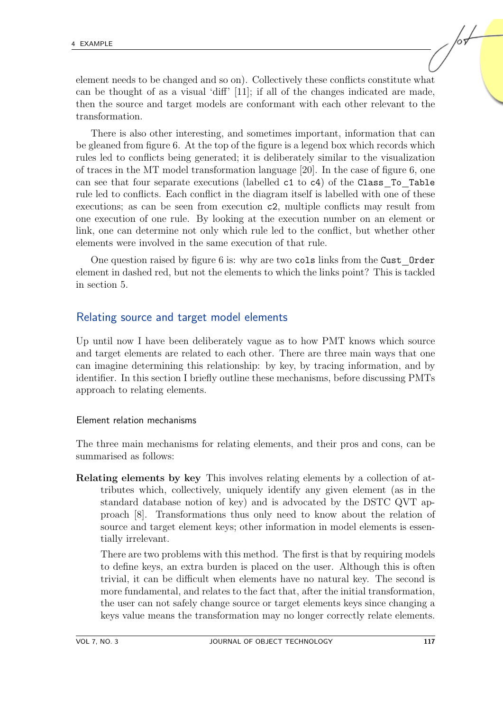element needs to be changed and so on). Collectively these conflicts constitute what can be thought of as a visual 'diff' [\[11\]](#page-19-9); if all of the changes indicated are made, then the source and target models are conformant with each other relevant to the transformation.

There is also other interesting, and sometimes important, information that can be gleaned from figure [6.](#page-9-0) At the top of the figure is a legend box which records which rules led to conflicts being generated; it is deliberately similar to the visualization of traces in the MT model transformation language [\[20\]](#page-19-3). In the case of figure [6,](#page-9-0) one can see that four separate executions (labelled c1 to c4) of the Class To Table rule led to conflicts. Each conflict in the diagram itself is labelled with one of these executions; as can be seen from execution c2, multiple conflicts may result from one execution of one rule. By looking at the execution number on an element or link, one can determine not only which rule led to the conflict, but whether other elements were involved in the same execution of that rule.

One question raised by figure [6](#page-9-0) is: why are two cols links from the Cust Order element in dashed red, but not the elements to which the links point? This is tackled in section [5.](#page-15-0)

#### Relating source and target model elements

Up until now I have been deliberately vague as to how PMT knows which source and target elements are related to each other. There are three main ways that one can imagine determining this relationship: by key, by tracing information, and by identifier. In this section I briefly outline these mechanisms, before discussing PMTs approach to relating elements.

#### Element relation mechanisms

The three main mechanisms for relating elements, and their pros and cons, can be summarised as follows:

Relating elements by key This involves relating elements by a collection of attributes which, collectively, uniquely identify any given element (as in the standard database notion of key) and is advocated by the DSTC QVT approach [\[8\]](#page-18-9). Transformations thus only need to know about the relation of source and target element keys; other information in model elements is essentially irrelevant.

There are two problems with this method. The first is that by requiring models to define keys, an extra burden is placed on the user. Although this is often trivial, it can be difficult when elements have no natural key. The second is more fundamental, and relates to the fact that, after the initial transformation, the user can not safely change source or target elements keys since changing a keys value means the transformation may no longer correctly relate elements.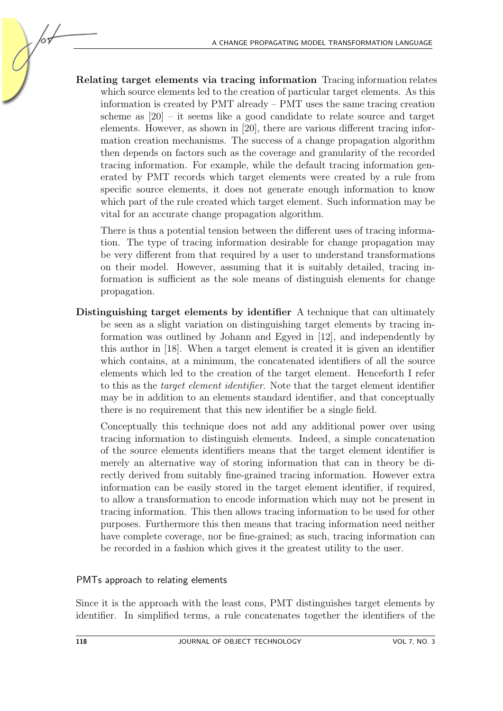Relating target elements via tracing information Tracing information relates which source elements led to the creation of particular target elements. As this information is created by PMT already – PMT uses the same tracing creation scheme as  $[20]$  – it seems like a good candidate to relate source and target elements. However, as shown in [\[20\]](#page-19-3), there are various different tracing information creation mechanisms. The success of a change propagation algorithm then depends on factors such as the coverage and granularity of the recorded tracing information. For example, while the default tracing information generated by PMT records which target elements were created by a rule from specific source elements, it does not generate enough information to know which part of the rule created which target element. Such information may be vital for an accurate change propagation algorithm.

There is thus a potential tension between the different uses of tracing information. The type of tracing information desirable for change propagation may be very different from that required by a user to understand transformations on their model. However, assuming that it is suitably detailed, tracing information is sufficient as the sole means of distinguish elements for change propagation.

Distinguishing target elements by identifier A technique that can ultimately be seen as a slight variation on distinguishing target elements by tracing information was outlined by Johann and Egyed in [\[12\]](#page-19-2), and independently by this author in [\[18\]](#page-19-1). When a target element is created it is given an identifier which contains, at a minimum, the concatenated identifiers of all the source elements which led to the creation of the target element. Henceforth I refer to this as the target element identifier. Note that the target element identifier may be in addition to an elements standard identifier, and that conceptually there is no requirement that this new identifier be a single field.

Conceptually this technique does not add any additional power over using tracing information to distinguish elements. Indeed, a simple concatenation of the source elements identifiers means that the target element identifier is merely an alternative way of storing information that can in theory be directly derived from suitably fine-grained tracing information. However extra information can be easily stored in the target element identifier, if required, to allow a transformation to encode information which may not be present in tracing information. This then allows tracing information to be used for other purposes. Furthermore this then means that tracing information need neither have complete coverage, nor be fine-grained; as such, tracing information can be recorded in a fashion which gives it the greatest utility to the user.

## PMTs approach to relating elements

Since it is the approach with the least cons, PMT distinguishes target elements by identifier. In simplified terms, a rule concatenates together the identifiers of the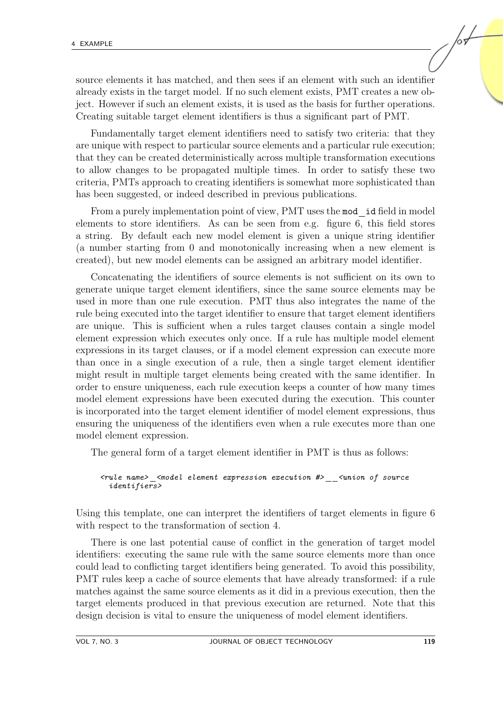source elements it has matched, and then sees if an element with such an identifier already exists in the target model. If no such element exists, PMT creates a new object. However if such an element exists, it is used as the basis for further operations. Creating suitable target element identifiers is thus a significant part of PMT.

Fundamentally target element identifiers need to satisfy two criteria: that they are unique with respect to particular source elements and a particular rule execution; that they can be created deterministically across multiple transformation executions to allow changes to be propagated multiple times. In order to satisfy these two criteria, PMTs approach to creating identifiers is somewhat more sophisticated than has been suggested, or indeed described in previous publications.

From a purely implementation point of view, PMT uses the mod id field in model elements to store identifiers. As can be seen from e.g. figure [6,](#page-9-0) this field stores a string. By default each new model element is given a unique string identifier (a number starting from 0 and monotonically increasing when a new element is created), but new model elements can be assigned an arbitrary model identifier.

Concatenating the identifiers of source elements is not sufficient on its own to generate unique target element identifiers, since the same source elements may be used in more than one rule execution. PMT thus also integrates the name of the rule being executed into the target identifier to ensure that target element identifiers are unique. This is sufficient when a rules target clauses contain a single model element expression which executes only once. If a rule has multiple model element expressions in its target clauses, or if a model element expression can execute more than once in a single execution of a rule, then a single target element identifier might result in multiple target elements being created with the same identifier. In order to ensure uniqueness, each rule execution keeps a counter of how many times model element expressions have been executed during the execution. This counter is incorporated into the target element identifier of model element expressions, thus ensuring the uniqueness of the identifiers even when a rule executes more than one model element expression.

The general form of a target element identifier in PMT is thus as follows:

#### <rule name> <model element expression execution #> <union of source identifiers>

Using this template, one can interpret the identifiers of target elements in figure [6](#page-9-0) with respect to the transformation of section [4.](#page-6-2)

There is one last potential cause of conflict in the generation of target model identifiers: executing the same rule with the same source elements more than once could lead to conflicting target identifiers being generated. To avoid this possibility, PMT rules keep a cache of source elements that have already transformed: if a rule matches against the same source elements as it did in a previous execution, then the target elements produced in that previous execution are returned. Note that this design decision is vital to ensure the uniqueness of model element identifiers.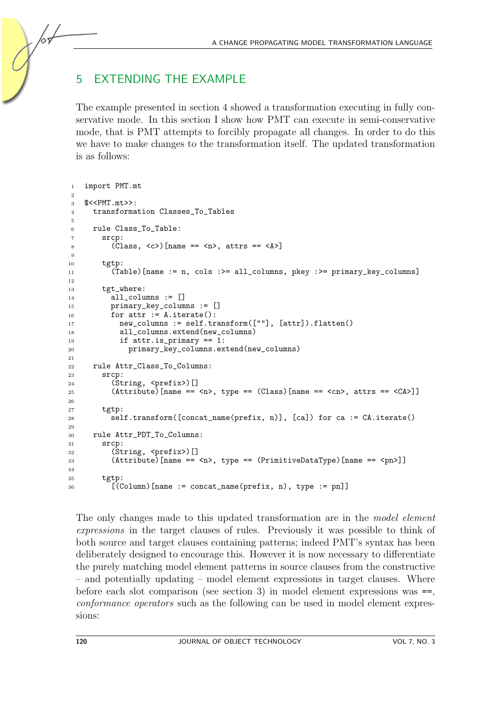## 5 EXTENDING THE EXAMPLE

The example presented in section [4](#page-6-2) showed a transformation executing in fully conservative mode. In this section I show how PMT can execute in semi-conservative mode, that is PMT attempts to forcibly propagate all changes. In order to do this we have to make changes to the transformation itself. The updated transformation is as follows:

```
1 import PMT.mt
2
3 $<<PMT.mt>>:
4 transformation Classes_To_Tables
5
6 rule Class To Table:
7 srcp:
8 (Class, \langle c \rangle) [name == \langle n \rangle, attrs == \langle \&)]
9
10 tgtp:
11 (Table)[name := n, cols :>= all_columns, pkey :>= primary_key_columns]
12
13 tgt_where:
14 all_columns := []
15 primary_key_columns := []
16 for attr := A.iterate():
17 new_columns := self.transform([""], [attr]).flatten()
18 all_columns.extend(new_columns)
19 if attr.is_primary == 1:
20 primary_key_columns.extend(new_columns)
21
22 rule Attr_Class_To_Columns:
23 srcp:
24 (String, <prefix>)[]
25 (Attribute) [name == \langle n \rangle, type == (Class) [name == \langle cn \rangle, attrs == \langle CA \rangle]]
26
27 tgtp:
28 self.transform([concat_name(prefix, n)], [ca]) for ca := CA.iterate()
29
30 rule Attr_PDT_To_Columns:
31 srcp:
32 (String, <prefix>)[]
33 (Attribute)[name == \langle n \rangle, type == (PrimitiveDataType)[name == \langle pn \rangle]]
34
35 tgtp:
36 [(Column)[name := concat_name(prefix, n), type := pn]]
```
The only changes made to this updated transformation are in the *model element* expressions in the target clauses of rules. Previously it was possible to think of both source and target clauses containing patterns; indeed PMT's syntax has been deliberately designed to encourage this. However it is now necessary to differentiate the purely matching model element patterns in source clauses from the constructive – and potentially updating – model element expressions in target clauses. Where before each slot comparison (see section [3\)](#page-4-0) in model element expressions was  $==$ , conformance operators such as the following can be used in model element expressions: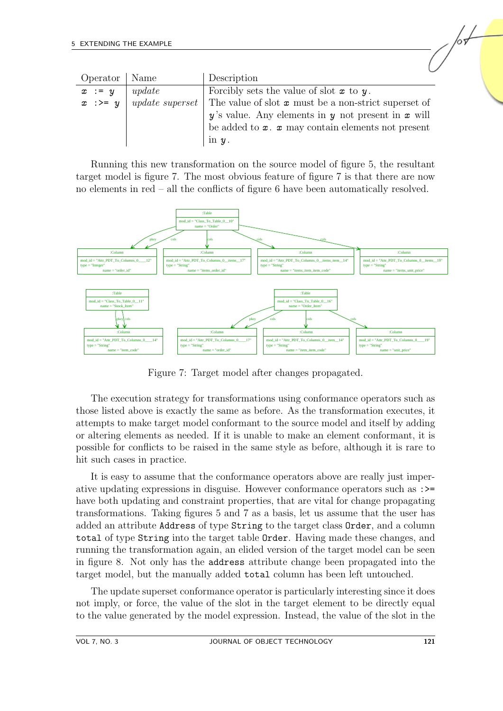| Operator   Name   |        | Description                                                                   |
|-------------------|--------|-------------------------------------------------------------------------------|
| $x := y$          | update | Forcibly sets the value of slot $x$ to $y$ .                                  |
| $x \rightarrow y$ |        | <i>update superset</i> The value of slot $x$ must be a non-strict superset of |
|                   |        | $y$ 's value. Any elements in y not present in x will                         |
|                   |        | be added to $x \cdot x$ may contain elements not present                      |
|                   |        | in $y$ .                                                                      |

Running this new transformation on the source model of figure [5,](#page-8-2) the resultant target model is figure [7.](#page-14-0) The most obvious feature of figure [7](#page-14-0) is that there are now no elements in red – all the conflicts of figure [6](#page-9-0) have been automatically resolved.



<span id="page-14-0"></span>Figure 7: Target model after changes propagated.

The execution strategy for transformations using conformance operators such as those listed above is exactly the same as before. As the transformation executes, it attempts to make target model conformant to the source model and itself by adding or altering elements as needed. If it is unable to make an element conformant, it is possible for conflicts to be raised in the same style as before, although it is rare to hit such cases in practice.

It is easy to assume that the conformance operators above are really just imperative updating expressions in disguise. However conformance operators such as :>= have both updating and constraint properties, that are vital for change propagating transformations. Taking figures [5](#page-8-2) and [7](#page-14-0) as a basis, let us assume that the user has added an attribute Address of type String to the target class Order, and a column total of type String into the target table Order. Having made these changes, and running the transformation again, an elided version of the target model can be seen in figure [8.](#page-15-1) Not only has the address attribute change been propagated into the target model, but the manually added total column has been left untouched.

The update superset conformance operator is particularly interesting since it does not imply, or force, the value of the slot in the target element to be directly equal to the value generated by the model expression. Instead, the value of the slot in the /००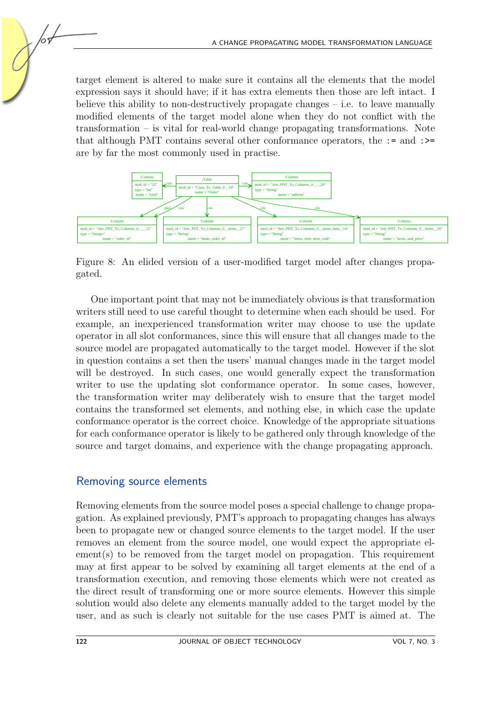target element is altered to make sure it contains all the elements that the model expression says it should have; if it has extra elements then those are left intact. I believe this ability to non-destructively propagate changes – i.e. to leave manually modified elements of the target model alone when they do not conflict with the transformation – is vital for real-world change propagating transformations. Note that although PMT contains several other conformance operators, the := and :>= are by far the most commonly used in practise.



<span id="page-15-1"></span>Figure 8: An elided version of a user-modified target model after changes propagated.

One important point that may not be immediately obvious is that transformation writers still need to use careful thought to determine when each should be used. For example, an inexperienced transformation writer may choose to use the update operator in all slot conformances, since this will ensure that all changes made to the source model are propagated automatically to the target model. However if the slot in question contains a set then the users' manual changes made in the target model will be destroyed. In such cases, one would generally expect the transformation writer to use the updating slot conformance operator. In some cases, however, the transformation writer may deliberately wish to ensure that the target model contains the transformed set elements, and nothing else, in which case the update conformance operator is the correct choice. Knowledge of the appropriate situations for each conformance operator is likely to be gathered only through knowledge of the source and target domains, and experience with the change propagating approach.

## Removing source elements

<span id="page-15-0"></span>Removing elements from the source model poses a special challenge to change propagation. As explained previously, PMT's approach to propagating changes has always been to propagate new or changed source elements to the target model. If the user removes an element from the source model, one would expect the appropriate el $e$  ement(s) to be removed from the target model on propagation. This requirement may at first appear to be solved by examining all target elements at the end of a transformation execution, and removing those elements which were not created as the direct result of transforming one or more source elements. However this simple solution would also delete any elements manually added to the target model by the user, and as such is clearly not suitable for the use cases PMT is aimed at. The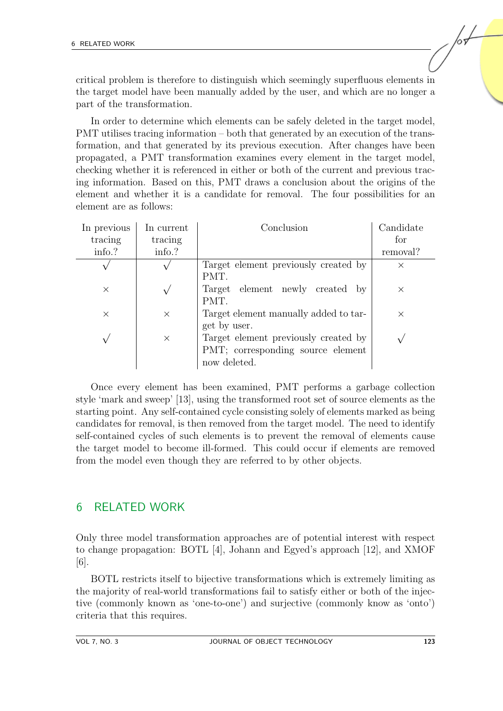critical problem is therefore to distinguish which seemingly superfluous elements in the target model have been manually added by the user, and which are no longer a part of the transformation.

In order to determine which elements can be safely deleted in the target model, PMT utilises tracing information – both that generated by an execution of the transformation, and that generated by its previous execution. After changes have been propagated, a PMT transformation examines every element in the target model, checking whether it is referenced in either or both of the current and previous tracing information. Based on this, PMT draws a conclusion about the origins of the element and whether it is a candidate for removal. The four possibilities for an element are as follows:

| In previous | In current | Conclusion                                      | Candidate |
|-------------|------------|-------------------------------------------------|-----------|
| tracing     | tracing    |                                                 | for       |
| info.?      | info.?     |                                                 | removal?  |
|             |            | Target element previously created by            | $\times$  |
|             |            | PMT.                                            |           |
| $\times$    |            | element newly created<br>Target<br>$\mathbf{b}$ | $\times$  |
|             |            | PMT.                                            |           |
| $\times$    | $\times$   | Target element manually added to tar-           | $\times$  |
|             |            | get by user.                                    |           |
|             | $\times$   | Target element previously created by            |           |
|             |            | PMT; corresponding source element               |           |
|             |            | now deleted.                                    |           |

Once every element has been examined, PMT performs a garbage collection style 'mark and sweep' [\[13\]](#page-19-10), using the transformed root set of source elements as the starting point. Any self-contained cycle consisting solely of elements marked as being candidates for removal, is then removed from the target model. The need to identify self-contained cycles of such elements is to prevent the removal of elements cause the target model to become ill-formed. This could occur if elements are removed from the model even though they are referred to by other objects.

## 6 RELATED WORK

Only three model transformation approaches are of potential interest with respect to change propagation: BOTL [\[4\]](#page-18-6), Johann and Egyed's approach [\[12\]](#page-19-2), and XMOF [\[6\]](#page-18-7).

BOTL restricts itself to bijective transformations which is extremely limiting as the majority of real-world transformations fail to satisfy either or both of the injective (commonly known as 'one-to-one') and surjective (commonly know as 'onto') criteria that this requires.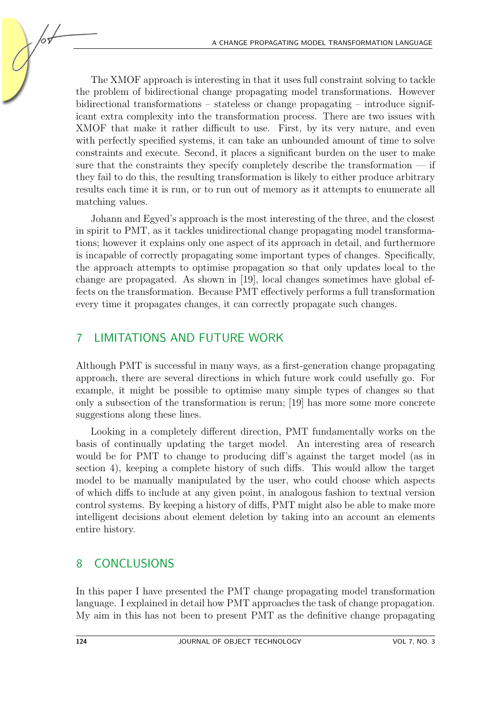The XMOF approach is interesting in that it uses full constraint solving to tackle the problem of bidirectional change propagating model transformations. However bidirectional transformations – stateless or change propagating – introduce significant extra complexity into the transformation process. There are two issues with XMOF that make it rather difficult to use. First, by its very nature, and even with perfectly specified systems, it can take an unbounded amount of time to solve constraints and execute. Second, it places a significant burden on the user to make sure that the constraints they specify completely describe the transformation — if they fail to do this, the resulting transformation is likely to either produce arbitrary results each time it is run, or to run out of memory as it attempts to enumerate all matching values.

Johann and Egyed's approach is the most interesting of the three, and the closest in spirit to PMT, as it tackles unidirectional change propagating model transformations; however it explains only one aspect of its approach in detail, and furthermore is incapable of correctly propagating some important types of changes. Specifically, the approach attempts to optimise propagation so that only updates local to the change are propagated. As shown in [\[19\]](#page-19-4), local changes sometimes have global effects on the transformation. Because PMT effectively performs a full transformation every time it propagates changes, it can correctly propagate such changes.

## 7 LIMITATIONS AND FUTURE WORK

Although PMT is successful in many ways, as a first-generation change propagating approach, there are several directions in which future work could usefully go. For example, it might be possible to optimise many simple types of changes so that only a subsection of the transformation is rerun; [\[19\]](#page-19-4) has more some more concrete suggestions along these lines.

Looking in a completely different direction, PMT fundamentally works on the basis of continually updating the target model. An interesting area of research would be for PMT to change to producing diff's against the target model (as in section [4\)](#page-9-1), keeping a complete history of such diffs. This would allow the target model to be manually manipulated by the user, who could choose which aspects of which diffs to include at any given point, in analogous fashion to textual version control systems. By keeping a history of diffs, PMT might also be able to make more intelligent decisions about element deletion by taking into an account an elements entire history.

## 8 CONCLUSIONS

In this paper I have presented the PMT change propagating model transformation language. I explained in detail how PMT approaches the task of change propagation. My aim in this has not been to present PMT as the definitive change propagating

105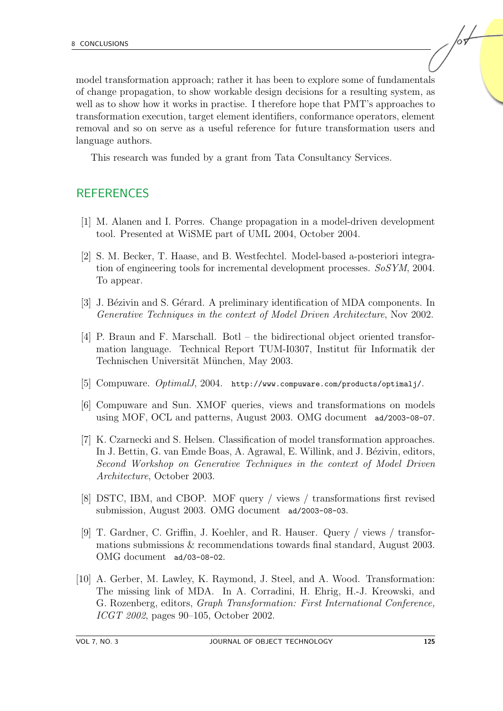model transformation approach; rather it has been to explore some of fundamentals of change propagation, to show workable design decisions for a resulting system, as well as to show how it works in practise. I therefore hope that PMT's approaches to transformation execution, target element identifiers, conformance operators, element removal and so on serve as a useful reference for future transformation users and language authors.

This research was funded by a grant from Tata Consultancy Services.

## **REFERENCES**

- <span id="page-18-4"></span>[1] M. Alanen and I. Porres. Change propagation in a model-driven development tool. Presented at WiSME part of UML 2004, October 2004.
- <span id="page-18-5"></span>[2] S. M. Becker, T. Haase, and B. Westfechtel. Model-based a-posteriori integration of engineering tools for incremental development processes. SoSYM, 2004. To appear.
- <span id="page-18-0"></span>[3] J. Bézivin and S. Gérard. A preliminary identification of MDA components. In Generative Techniques in the context of Model Driven Architecture, Nov 2002.
- <span id="page-18-6"></span>[4] P. Braun and F. Marschall. Botl – the bidirectional object oriented transformation language. Technical Report TUM-I0307, Institut für Informatik der Technischen Universität München, May 2003.
- <span id="page-18-8"></span>[5] Compuware. OptimalJ, 2004. http://www.compuware.com/products/optimalj/.
- <span id="page-18-7"></span>[6] Compuware and Sun. XMOF queries, views and transformations on models using MOF, OCL and patterns, August 2003. OMG document ad/2003-08-07.
- <span id="page-18-3"></span>[7] K. Czarnecki and S. Helsen. Classification of model transformation approaches. In J. Bettin, G. van Emde Boas, A. Agrawal, E. Willink, and J. Bézivin, editors, Second Workshop on Generative Techniques in the context of Model Driven Architecture, October 2003.
- <span id="page-18-9"></span>[8] DSTC, IBM, and CBOP. MOF query / views / transformations first revised submission, August 2003. OMG document ad/2003-08-03.
- <span id="page-18-2"></span>[9] T. Gardner, C. Griffin, J. Koehler, and R. Hauser. Query / views / transformations submissions & recommendations towards final standard, August 2003. OMG document ad/03-08-02.
- <span id="page-18-1"></span>[10] A. Gerber, M. Lawley, K. Raymond, J. Steel, and A. Wood. Transformation: The missing link of MDA. In A. Corradini, H. Ehrig, H.-J. Kreowski, and G. Rozenberg, editors, Graph Transformation: First International Conference, ICGT 2002, pages 90–105, October 2002.